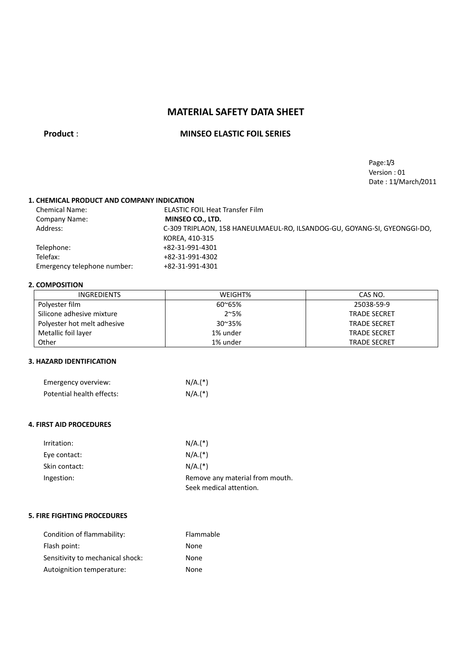# **MATERIAL SAFETY DATA SHEET**

## **Product** : **MINSEO ELASTIC FOIL SERIES**

Page:1/3 Version : 01 Date : 11/March/2011

### **1. CHEMICAL PRODUCT AND COMPANY INDICATION**

| <b>Chemical Name:</b>       | <b>ELASTIC FOIL Heat Transfer Film</b>                                   |
|-----------------------------|--------------------------------------------------------------------------|
| <b>Company Name:</b>        | MINSEO CO., LTD.                                                         |
| Address:                    | C-309 TRIPLAON, 158 HANEULMAEUL-RO, ILSANDOG-GU, GOYANG-SI, GYEONGGI-DO, |
|                             | KOREA, 410-315                                                           |
| Telephone:                  | +82-31-991-4301                                                          |
| Telefax:                    | +82-31-991-4302                                                          |
| Emergency telephone number: | +82-31-991-4301                                                          |
|                             |                                                                          |

### **2. COMPOSITION**

| <b>INGREDIENTS</b>          | WEIGHT%          | CAS NO.             |
|-----------------------------|------------------|---------------------|
| Polyester film              | $60^{\circ}65%$  | 25038-59-9          |
| Silicone adhesive mixture   | $2^{\sim}5%$     | <b>TRADE SECRET</b> |
| Polyester hot melt adhesive | $30^{\circ}35\%$ | <b>TRADE SECRET</b> |
| Metallic foil layer         | 1% under         | <b>TRADE SECRET</b> |
| Other                       | 1% under         | <b>TRADE SECRET</b> |

## **3. HAZARD IDENTIFICATION**

| Emergency overview:       | $N/A.(*)$ |
|---------------------------|-----------|
| Potential health effects: | $N/A.(*)$ |

### **4. FIRST AID PROCEDURES**

| Irritation:   | $N/A.(*)$                                                  |
|---------------|------------------------------------------------------------|
| Eye contact:  | $N/A.(*)$                                                  |
| Skin contact: | $N/A.(*)$                                                  |
| Ingestion:    | Remove any material from mouth.<br>Seek medical attention. |

### **5. FIRE FIGHTING PROCEDURES**

| Condition of flammability:       | Flammable |
|----------------------------------|-----------|
| Flash point:                     | None      |
| Sensitivity to mechanical shock: | None      |
| Autoignition temperature:        | None      |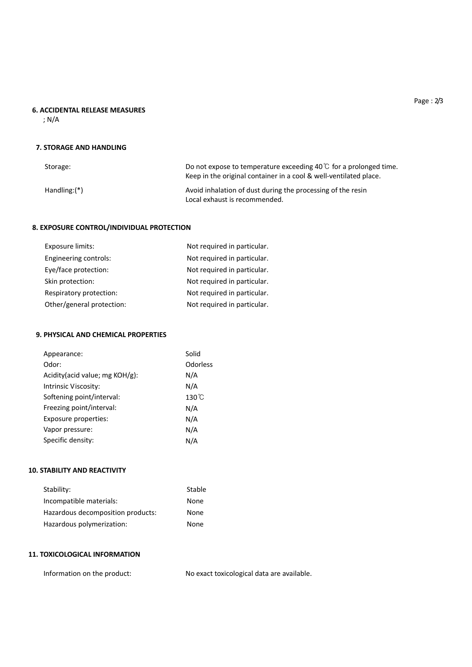## **6. ACCIDENTAL RELEASE MEASURES**

; N/A

### **7. STORAGE AND HANDLING**

| Storage:       | Do not expose to temperature exceeding 40 $\degree$ for a prolonged time.<br>Keep in the original container in a cool & well-ventilated place. |
|----------------|------------------------------------------------------------------------------------------------------------------------------------------------|
| $Handling:(*)$ | Avoid inhalation of dust during the processing of the resin<br>Local exhaust is recommended.                                                   |

## **8. EXPOSURE CONTROL/INDIVIDUAL PROTECTION**

| Engineering controls:<br>Not required in particular.<br>Eye/face protection:<br>Not required in particular.<br>Not required in particular.<br>Skin protection:<br>Not required in particular.<br>Respiratory protection:<br>Other/general protection:<br>Not required in particular. | Exposure limits: | Not required in particular. |
|--------------------------------------------------------------------------------------------------------------------------------------------------------------------------------------------------------------------------------------------------------------------------------------|------------------|-----------------------------|
|                                                                                                                                                                                                                                                                                      |                  |                             |
|                                                                                                                                                                                                                                                                                      |                  |                             |
|                                                                                                                                                                                                                                                                                      |                  |                             |
|                                                                                                                                                                                                                                                                                      |                  |                             |
|                                                                                                                                                                                                                                                                                      |                  |                             |

## **9. PHYSICAL AND CHEMICAL PROPERTIES**

| Appearance:                     | Solid           |
|---------------------------------|-----------------|
| Odor:                           | Odorless        |
| Acidity (acid value; mg KOH/g): | N/A             |
| Intrinsic Viscosity:            | N/A             |
| Softening point/interval:       | $130^{\circ}$ C |
| Freezing point/interval:        | N/A             |
| Exposure properties:            | N/A             |
| Vapor pressure:                 | N/A             |
| Specific density:               | N/A             |

### **10. STABILITY AND REACTIVITY**

| Stability:                        | Stable |
|-----------------------------------|--------|
| Incompatible materials:           | None   |
| Hazardous decomposition products: | None   |
| Hazardous polymerization:         | None   |

## **11. TOXICOLOGICAL INFORMATION**

Information on the product: No exact toxicological data are available.